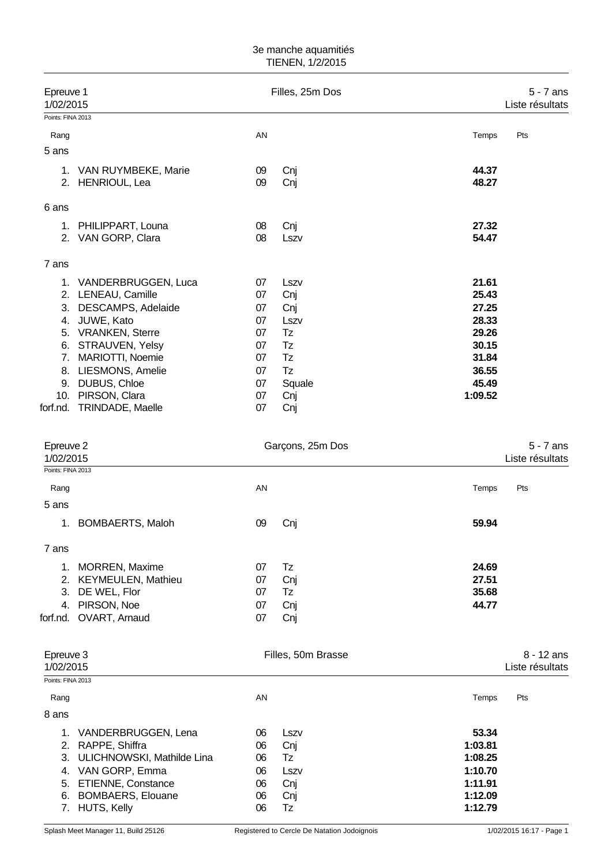## 3e manche aquamitiés TIENEN, 1/2/2015

| Epreuve 1<br>1/02/2015                      |                                                                                                                                                                                                                                              |                                                                | Filles, 25m Dos                                                            |                                                                                          | $5 - 7$ ans<br>Liste résultats  |
|---------------------------------------------|----------------------------------------------------------------------------------------------------------------------------------------------------------------------------------------------------------------------------------------------|----------------------------------------------------------------|----------------------------------------------------------------------------|------------------------------------------------------------------------------------------|---------------------------------|
| Points: FINA 2013                           |                                                                                                                                                                                                                                              |                                                                |                                                                            |                                                                                          |                                 |
| Rang<br>5 ans                               |                                                                                                                                                                                                                                              | AN                                                             |                                                                            | Temps                                                                                    | Pts                             |
|                                             | 1. VAN RUYMBEKE, Marie<br>2. HENRIOUL, Lea                                                                                                                                                                                                   | 09<br>09                                                       | Cnj<br>Cnj                                                                 | 44.37<br>48.27                                                                           |                                 |
| 6 ans                                       |                                                                                                                                                                                                                                              |                                                                |                                                                            |                                                                                          |                                 |
| 1.<br>2.                                    | PHILIPPART, Louna<br>VAN GORP, Clara                                                                                                                                                                                                         | 08<br>08                                                       | Cnj<br>Lszv                                                                | 27.32<br>54.47                                                                           |                                 |
| 7 ans                                       |                                                                                                                                                                                                                                              |                                                                |                                                                            |                                                                                          |                                 |
| 3.<br>4.<br>7.                              | 1. VANDERBRUGGEN, Luca<br>2. LENEAU, Camille<br>DESCAMPS, Adelaide<br>JUWE, Kato<br>5. VRANKEN, Sterre<br>6. STRAUVEN, Yelsy<br>MARIOTTI, Noemie<br>8. LIESMONS, Amelie<br>9. DUBUS, Chloe<br>10. PIRSON, Clara<br>forf.nd. TRINDADE, Maelle | 07<br>07<br>07<br>07<br>07<br>07<br>07<br>07<br>07<br>07<br>07 | Lszv<br>Cnj<br>Cnj<br>Lszv<br>Tz<br>Tz<br>Tz<br>Tz<br>Squale<br>Cnj<br>Cnj | 21.61<br>25.43<br>27.25<br>28.33<br>29.26<br>30.15<br>31.84<br>36.55<br>45.49<br>1:09.52 |                                 |
| Epreuve 2<br>1/02/2015<br>Points: FINA 2013 |                                                                                                                                                                                                                                              |                                                                | Garçons, 25m Dos                                                           |                                                                                          | $5 - 7$ ans<br>Liste résultats  |
| Rang                                        |                                                                                                                                                                                                                                              | AN                                                             |                                                                            | Temps                                                                                    | Pts                             |
| 5 ans                                       |                                                                                                                                                                                                                                              |                                                                |                                                                            |                                                                                          |                                 |
| 1.                                          | <b>BOMBAERTS, Maloh</b>                                                                                                                                                                                                                      | 09                                                             | Cnj                                                                        | 59.94                                                                                    |                                 |
| 7 ans                                       |                                                                                                                                                                                                                                              |                                                                |                                                                            |                                                                                          |                                 |
| 1.                                          | MORREN, Maxime<br>2. KEYMEULEN, Mathieu<br>3. DE WEL, Flor<br>4. PIRSON, Noe<br>forf.nd. OVART, Arnaud                                                                                                                                       | 07<br>07<br>07<br>07<br>07                                     | Tz<br>Cnj<br>Tz<br>Cnj<br>Cnj                                              | 24.69<br>27.51<br>35.68<br>44.77                                                         |                                 |
| Epreuve 3<br>1/02/2015                      |                                                                                                                                                                                                                                              |                                                                | Filles, 50m Brasse                                                         |                                                                                          | $8 - 12$ ans<br>Liste résultats |
| Points: FINA 2013                           |                                                                                                                                                                                                                                              |                                                                |                                                                            |                                                                                          |                                 |
| Rang<br>8 ans                               |                                                                                                                                                                                                                                              | AN                                                             |                                                                            | Temps                                                                                    | Pts                             |
|                                             | 1. VANDERBRUGGEN, Lena<br>2. RAPPE, Shiffra<br>3. ULICHNOWSKI, Mathilde Lina<br>4. VAN GORP, Emma<br>5. ETIENNE, Constance<br>6. BOMBAERS, Elouane                                                                                           | 06<br>06<br>06<br>06<br>06<br>06                               | Lszv<br>Cnj<br>Tz<br>Lszv<br>Cnj<br>Cnj                                    | 53.34<br>1:03.81<br>1:08.25<br>1:10.70<br>1:11.91<br>1:12.09                             |                                 |

6. BOMBAERS, Elouane

7. HUTS, Kelly 06 Tz **1:12.79**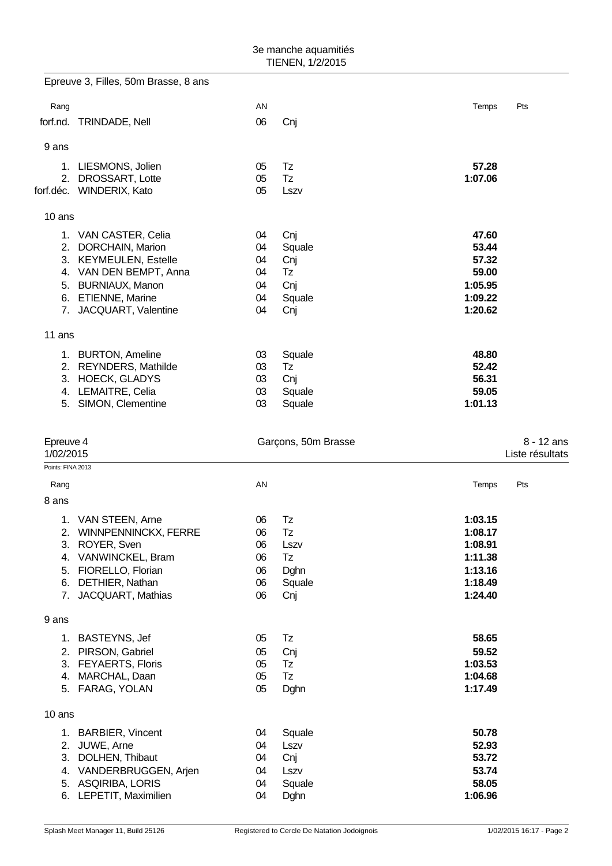|                   | Epreuve 3, Filles, 50m Brasse, 8 ans           |          |                     |                  |                 |
|-------------------|------------------------------------------------|----------|---------------------|------------------|-----------------|
| Rang              |                                                | AN       |                     | Temps            | Pts             |
| forf.nd.          | TRINDADE, Nell                                 | 06       | Cnj                 |                  |                 |
| 9 ans             |                                                |          |                     |                  |                 |
|                   |                                                |          |                     |                  |                 |
|                   | 1. LIESMONS, Jolien                            | 05       | Tz<br>Tz            | 57.28<br>1:07.06 |                 |
| 2.                | DROSSART, Lotte<br>forf.déc. WINDERIX, Kato    | 05<br>05 | Lszv                |                  |                 |
|                   |                                                |          |                     |                  |                 |
| 10 ans            |                                                |          |                     |                  |                 |
|                   | 1. VAN CASTER, Celia                           | 04       | Cnj                 | 47.60            |                 |
| 2.                | DORCHAIN, Marion                               | 04       | Squale              | 53.44            |                 |
| 3.                | <b>KEYMEULEN, Estelle</b>                      | 04       | Cnj                 | 57.32            |                 |
|                   | 4. VAN DEN BEMPT, Anna                         | 04       | Tz                  | 59.00            |                 |
| 5.                | <b>BURNIAUX, Manon</b>                         | 04       | Cnj                 | 1:05.95          |                 |
| 6.                | <b>ETIENNE, Marine</b>                         | 04       | Squale              | 1:09.22          |                 |
|                   | 7. JACQUART, Valentine                         | 04       | Cnj                 | 1:20.62          |                 |
| 11 ans            |                                                |          |                     |                  |                 |
|                   | 1. BURTON, Ameline                             | 03       | Squale              | 48.80            |                 |
|                   | 2. REYNDERS, Mathilde                          | 03       | Tz                  | 52.42            |                 |
| 3.                | <b>HOECK, GLADYS</b>                           | 03       | Cnj                 | 56.31            |                 |
|                   | 4. LEMAITRE, Celia                             | 03       | Squale              | 59.05            |                 |
|                   | 5. SIMON, Clementine                           | 03       | Squale              | 1:01.13          |                 |
|                   |                                                |          |                     |                  |                 |
| Epreuve 4         |                                                |          | Garçons, 50m Brasse |                  | 8 - 12 ans      |
| 1/02/2015         |                                                |          |                     |                  | Liste résultats |
| Points: FINA 2013 |                                                |          |                     |                  |                 |
| Rang              |                                                | AN       |                     | Temps            | Pts             |
| 8 ans             |                                                |          |                     |                  |                 |
| 1.                | VAN STEEN, Arne                                | 06       | Tz                  | 1:03.15          |                 |
| 2.                | <b>WINNPENNINCKX, FERRE</b>                    | 06       | Tz                  | 1:08.17          |                 |
|                   | 3. ROYER, Sven                                 | 06       | Lszv                | 1:08.91          |                 |
| 4.                | VANWINCKEL, Bram                               | 06       | Tz                  | 1:11.38          |                 |
| 5.                | FIORELLO, Florian                              | 06       | Dghn                | 1:13.16          |                 |
| 6.                | DETHIER, Nathan                                | 06       | Squale              | 1:18.49          |                 |
| 7.                | JACQUART, Mathias                              | 06       | Cnj                 | 1:24.40          |                 |
| 9 ans             |                                                |          |                     |                  |                 |
| 1.                | BASTEYNS, Jef                                  | 05       | Tz                  | 58.65            |                 |
|                   | 2. PIRSON, Gabriel                             | 05       | Cnj                 | 59.52            |                 |
|                   | 3. FEYAERTS, Floris                            | 05       | Tz                  | 1:03.53          |                 |
| 4.                | MARCHAL, Daan                                  | 05       | Tz                  | 1:04.68          |                 |
|                   | 5. FARAG, YOLAN                                | 05       | Dghn                | 1:17.49          |                 |
| 10 ans            |                                                |          |                     |                  |                 |
|                   |                                                |          |                     |                  |                 |
|                   | 1. BARBIER, Vincent                            | 04       | Squale              | 50.78            |                 |
| 2.<br>3.          | JUWE, Arne<br>DOLHEN, Thibaut                  | 04<br>04 | Lszv                | 52.93<br>53.72   |                 |
|                   |                                                |          | Cnj                 |                  |                 |
| 4.                | VANDERBRUGGEN, Arjen<br><b>ASQIRIBA, LORIS</b> | 04<br>04 | Lszv<br>Squale      | 53.74<br>58.05   |                 |
| 5.                | 6. LEPETIT, Maximilien                         | 04       | Dghn                | 1:06.96          |                 |
|                   |                                                |          |                     |                  |                 |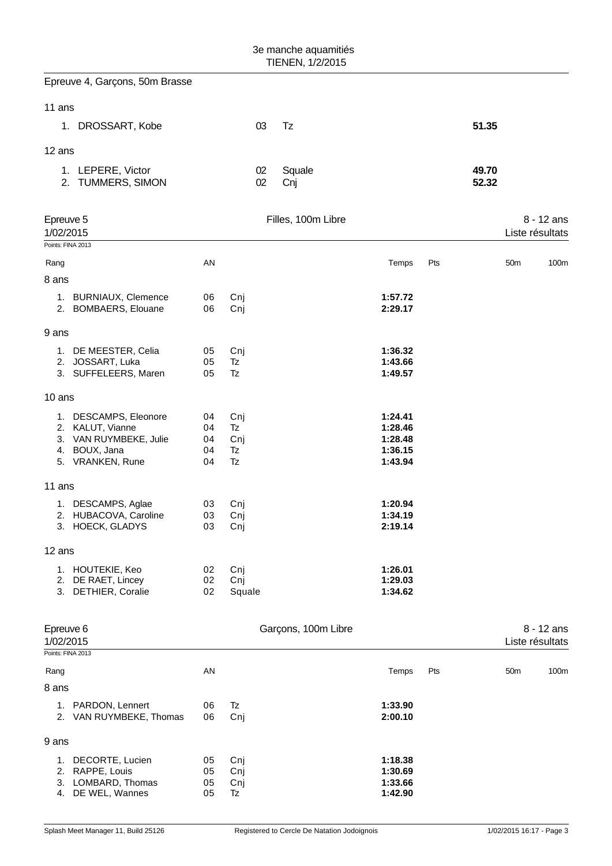| 3e manche aquamitiés<br>TIENEN, 1/2/2015    |                                                                                                          |                            |                              |                     |                                                     |                |                 |                                 |
|---------------------------------------------|----------------------------------------------------------------------------------------------------------|----------------------------|------------------------------|---------------------|-----------------------------------------------------|----------------|-----------------|---------------------------------|
|                                             | Epreuve 4, Garçons, 50m Brasse                                                                           |                            |                              |                     |                                                     |                |                 |                                 |
| 11 ans                                      |                                                                                                          |                            |                              |                     |                                                     |                |                 |                                 |
|                                             | 1. DROSSART, Kobe                                                                                        |                            | 03                           | Tz                  |                                                     | 51.35          |                 |                                 |
| 12 ans                                      |                                                                                                          |                            |                              |                     |                                                     |                |                 |                                 |
|                                             | 1. LEPERE, Victor<br>2. TUMMERS, SIMON                                                                   |                            | 02<br>02                     | Squale<br>Cnj       |                                                     | 49.70<br>52.32 |                 |                                 |
| Epreuve 5<br>1/02/2015                      |                                                                                                          |                            |                              | Filles, 100m Libre  |                                                     |                |                 | $8 - 12$ ans<br>Liste résultats |
| Points: FINA 2013                           |                                                                                                          |                            |                              |                     |                                                     |                |                 |                                 |
| Rang                                        |                                                                                                          | AN                         |                              |                     | Temps                                               | Pts            | 50 <sub>m</sub> | 100m                            |
| 8 ans                                       |                                                                                                          |                            |                              |                     |                                                     |                |                 |                                 |
|                                             | 1. BURNIAUX, Clemence<br>2. BOMBAERS, Elouane                                                            | 06<br>06                   | Cnj<br>Cnj                   |                     | 1:57.72<br>2:29.17                                  |                |                 |                                 |
| 9 ans                                       |                                                                                                          |                            |                              |                     |                                                     |                |                 |                                 |
|                                             | 1. DE MEESTER, Celia<br>2. JOSSART, Luka<br>3. SUFFELEERS, Maren                                         | 05<br>05<br>05             | Cnj<br>Tz<br>Tz              |                     | 1:36.32<br>1:43.66<br>1:49.57                       |                |                 |                                 |
| 10 ans                                      |                                                                                                          |                            |                              |                     |                                                     |                |                 |                                 |
|                                             | 1. DESCAMPS, Eleonore<br>2. KALUT, Vianne<br>3. VAN RUYMBEKE, Julie<br>4. BOUX, Jana<br>5. VRANKEN, Rune | 04<br>04<br>04<br>04<br>04 | Cnj<br>Tz<br>Cnj<br>Tz<br>Tz |                     | 1:24.41<br>1:28.46<br>1:28.48<br>1:36.15<br>1:43.94 |                |                 |                                 |
| 11 ans                                      |                                                                                                          |                            |                              |                     |                                                     |                |                 |                                 |
|                                             | 1. DESCAMPS, Aglae<br>2. HUBACOVA, Caroline<br>3. HOECK, GLADYS                                          | 03<br>03<br>03             | Cnj<br>Cnj<br>Cnj            |                     | 1:20.94<br>1:34.19<br>2:19.14                       |                |                 |                                 |
| 12 ans                                      |                                                                                                          |                            |                              |                     |                                                     |                |                 |                                 |
|                                             | 1. HOUTEKIE, Keo<br>2. DE RAET, Lincey<br>3. DETHIER, Coralie                                            | 02<br>02<br>02             | Cnj<br>Cnj<br>Squale         |                     | 1:26.01<br>1:29.03<br>1:34.62                       |                |                 |                                 |
| Epreuve 6<br>1/02/2015<br>Points: FINA 2013 |                                                                                                          |                            |                              | Garçons, 100m Libre |                                                     |                |                 | $8 - 12$ ans<br>Liste résultats |
| Rang                                        |                                                                                                          | AN                         |                              |                     | Temps                                               | Pts            | 50 <sub>m</sub> | 100m                            |
| 8 ans                                       |                                                                                                          |                            |                              |                     |                                                     |                |                 |                                 |
|                                             | 1. PARDON, Lennert<br>2. VAN RUYMBEKE, Thomas                                                            | 06<br>06                   | Tz<br>Cnj                    |                     | 1:33.90<br>2:00.10                                  |                |                 |                                 |
| 9 ans                                       |                                                                                                          |                            |                              |                     |                                                     |                |                 |                                 |
|                                             | 1. DECORTE, Lucien<br>2. RAPPE, Louis<br>3. LOMBARD, Thomas<br>4. DE WEL, Wannes                         | 05<br>05<br>05<br>05       | Cnj<br>Cnj<br>Cnj<br>Tz      |                     | 1:18.38<br>1:30.69<br>1:33.66<br>1:42.90            |                |                 |                                 |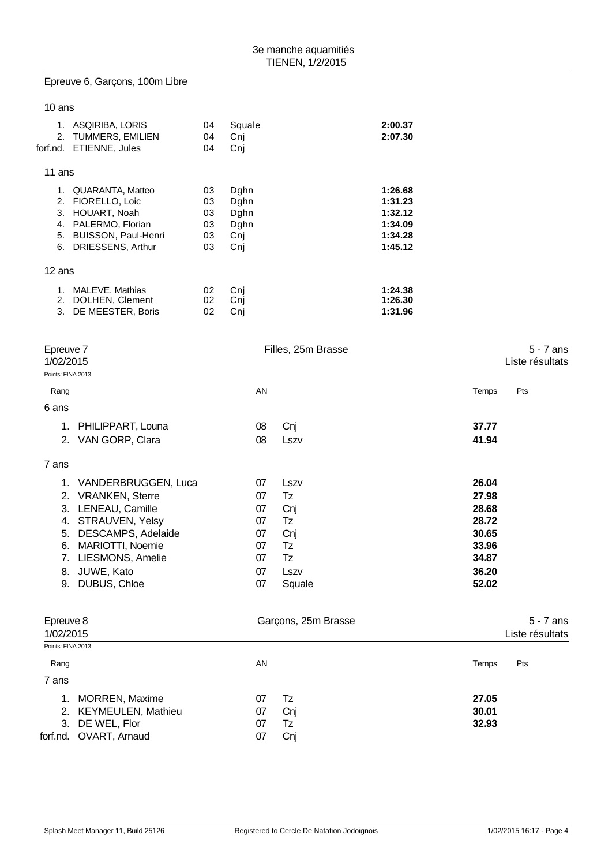## Epreuve 6, Garçons, 100m Libre

| 10 ans                           |                                                                                                                           |                                  |                                            |                                                                |
|----------------------------------|---------------------------------------------------------------------------------------------------------------------------|----------------------------------|--------------------------------------------|----------------------------------------------------------------|
| 1.<br>2.<br>forf.nd.             | ASQIRIBA, LORIS<br><b>TUMMERS, EMILIEN</b><br>ETIENNE, Jules                                                              | 04<br>04<br>04                   | Squale<br>Cnj<br>Cni                       | 2:00.37<br>2:07.30                                             |
| 11 ans                           |                                                                                                                           |                                  |                                            |                                                                |
| 1.<br>2.<br>3.<br>4.<br>5.<br>6. | QUARANTA, Matteo<br>FIORELLO, Loic<br>HOUART, Noah<br>PALERMO, Florian<br><b>BUISSON, Paul-Henri</b><br>DRIESSENS, Arthur | 03<br>03<br>03<br>03<br>03<br>03 | Dghn<br>Dghn<br>Dghn<br>Dghn<br>Cnj<br>Cnj | 1:26.68<br>1:31.23<br>1:32.12<br>1:34.09<br>1:34.28<br>1:45.12 |
| 12 ans                           |                                                                                                                           |                                  |                                            |                                                                |
| 1.<br>2.<br>3.                   | MALEVE, Mathias<br>DOLHEN, Clement<br>DE MEESTER, Boris                                                                   | 02<br>02<br>02                   | Cni<br>Cni<br>Cni                          | 1:24.38<br>1:26.30<br>1:31.96                                  |

| $5 - 7$ ans<br>Liste résultats |
|--------------------------------|
|                                |
| Pts<br>Temps                   |
|                                |
| 37.77                          |
| 41.94                          |
|                                |
| 26.04                          |
| 27.98                          |
| 28.68                          |
| 28.72                          |
| 30.65                          |
| 33.96                          |
| 34.87                          |
| 36.20                          |
| 52.02                          |
|                                |

| Epreuve 8<br>1/02/2015 |                        |    | Garçons, 25m Brasse | $5 - 7$ ans<br>Liste résultats |     |  |
|------------------------|------------------------|----|---------------------|--------------------------------|-----|--|
| Points: FINA 2013      |                        |    |                     |                                |     |  |
| Rang                   |                        | AN |                     | Temps                          | Pts |  |
| 7 ans                  |                        |    |                     |                                |     |  |
|                        | 1. MORREN, Maxime      | 07 | Tz                  | 27.05                          |     |  |
|                        | 2. KEYMEULEN, Mathieu  | 07 | Cnj                 | 30.01                          |     |  |
|                        | 3. DE WEL, Flor        | 07 | Tz                  | 32.93                          |     |  |
|                        | forf.nd. OVART, Arnaud | 07 | Cnj                 |                                |     |  |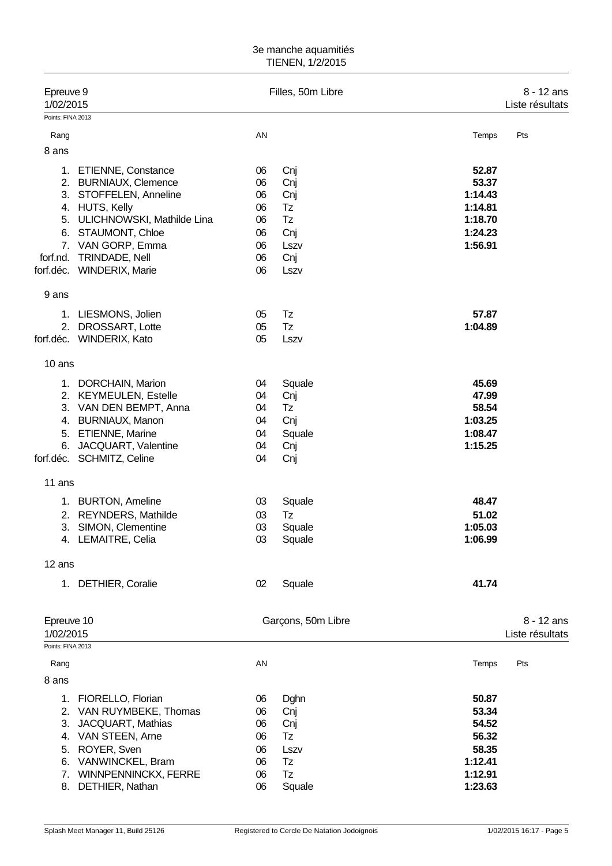## 3e manche aquamitiés TIENEN, 1/2/2015

| Epreuve 9<br>1/02/2015         |                                              |          | Filles, 50m Libre  |                | 8 - 12 ans<br>Liste résultats |
|--------------------------------|----------------------------------------------|----------|--------------------|----------------|-------------------------------|
| Points: FINA 2013              |                                              |          |                    |                |                               |
| Rang                           |                                              | AN       |                    | Temps          | Pts                           |
| 8 ans                          |                                              |          |                    |                |                               |
|                                | 1. ETIENNE, Constance                        | 06       | Cnj                | 52.87          |                               |
|                                | 2. BURNIAUX, Clemence                        | 06       | Cnj                | 53.37          |                               |
|                                | 3. STOFFELEN, Anneline                       | 06       | Cnj                | 1:14.43        |                               |
|                                | 4. HUTS, Kelly                               | 06       | Tz                 | 1:14.81        |                               |
| 5.                             | ULICHNOWSKI, Mathilde Lina                   | 06       | Tz                 | 1:18.70        |                               |
|                                | 6. STAUMONT, Chloe                           | 06       | Cnj                | 1:24.23        |                               |
|                                | 7. VAN GORP, Emma                            | 06       | Lszv               | 1:56.91        |                               |
|                                | forf.nd. TRINDADE, Nell                      | 06       | Cnj                |                |                               |
|                                | forf.déc. WINDERIX, Marie                    | 06       | Lszv               |                |                               |
| 9 ans                          |                                              |          |                    |                |                               |
|                                | 1. LIESMONS, Jolien                          | 05       | Tz                 | 57.87          |                               |
|                                | 2. DROSSART, Lotte                           | 05       | <b>Tz</b>          | 1:04.89        |                               |
|                                | forf.déc. WINDERIX, Kato                     | 05       | Lszv               |                |                               |
| 10 ans                         |                                              |          |                    |                |                               |
|                                | 1. DORCHAIN, Marion                          | 04       | Squale             | 45.69          |                               |
|                                | 2. KEYMEULEN, Estelle                        | 04       | Cnj                | 47.99          |                               |
|                                | 3. VAN DEN BEMPT, Anna                       | 04       | Tz                 | 58.54          |                               |
|                                | 4. BURNIAUX, Manon                           | 04       | Cnj                | 1:03.25        |                               |
| 5.                             | <b>ETIENNE, Marine</b>                       | 04       | Squale             | 1:08.47        |                               |
| 6.                             | JACQUART, Valentine                          | 04       | Cnj                | 1:15.25        |                               |
|                                | forf.déc. SCHMITZ, Celine                    | 04       | Cnj                |                |                               |
| 11 ans                         |                                              |          |                    |                |                               |
|                                | 1. BURTON, Ameline                           | 03       | Squale             | 48.47          |                               |
|                                | 2. REYNDERS, Mathilde                        | 03       | Tz                 | 51.02          |                               |
| 3.                             | SIMON, Clementine                            | 03       | Squale             | 1:05.03        |                               |
|                                | 4. LEMAITRE, Celia                           | 03       | Squale             | 1:06.99        |                               |
| 12 ans                         |                                              |          |                    |                |                               |
|                                | 1. DETHIER, Coralie                          | 02       | Squale             | 41.74          |                               |
|                                |                                              |          |                    |                |                               |
| Epreuve 10                     |                                              |          | Garçons, 50m Libre |                | 8 - 12 ans                    |
| 1/02/2015<br>Points: FINA 2013 |                                              |          |                    |                | Liste résultats               |
| Rang                           |                                              | AN       |                    | Temps          | Pts                           |
| 8 ans                          |                                              |          |                    |                |                               |
|                                |                                              |          |                    |                |                               |
| 1.                             | FIORELLO, Florian                            | 06       | Dghn               | 50.87          |                               |
| 3.                             | 2. VAN RUYMBEKE, Thomas<br>JACQUART, Mathias | 06<br>06 | Cnj                | 53.34<br>54.52 |                               |
|                                | 4. VAN STEEN, Arne                           | 06       | Cnj<br>Tz          | 56.32          |                               |
| 5.                             | ROYER, Sven                                  | 06       | Lszv               | 58.35          |                               |
| 6.                             | VANWINCKEL, Bram                             | 06       | Tz                 | 1:12.41        |                               |
| 7.                             | WINNPENNINCKX, FERRE                         | 06       | <b>Tz</b>          | 1:12.91        |                               |
| 8.                             | DETHIER, Nathan                              | 06       | Squale             | 1:23.63        |                               |
|                                |                                              |          |                    |                |                               |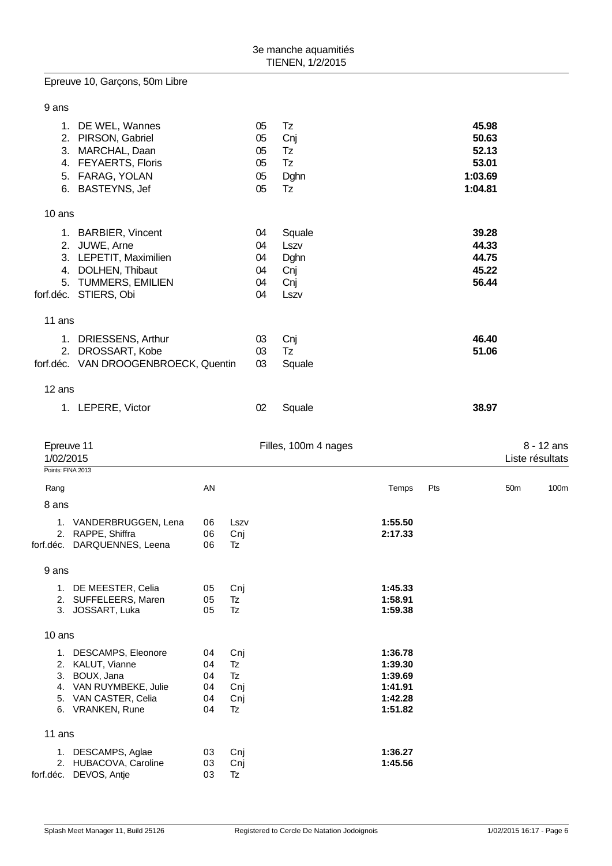Epreuve 10, Garçons, 50m Libre

| 9 ans     |                                                                                                                                      |                                  |                                            |                                  |                                              |                                                                |     |                                                        |                 |                               |
|-----------|--------------------------------------------------------------------------------------------------------------------------------------|----------------------------------|--------------------------------------------|----------------------------------|----------------------------------------------|----------------------------------------------------------------|-----|--------------------------------------------------------|-----------------|-------------------------------|
|           | 1. DE WEL, Wannes<br>2. PIRSON, Gabriel<br>3. MARCHAL, Daan<br>4. FEYAERTS, Floris<br>5. FARAG, YOLAN<br>6. BASTEYNS, Jef            |                                  |                                            | 05<br>05<br>05<br>05<br>05<br>05 | Tz<br>Cnj<br>Tz<br>Tz<br>Dghn<br><b>Tz</b>   |                                                                |     | 45.98<br>50.63<br>52.13<br>53.01<br>1:03.69<br>1:04.81 |                 |                               |
| 10 ans    |                                                                                                                                      |                                  |                                            |                                  |                                              |                                                                |     |                                                        |                 |                               |
|           | 1. BARBIER, Vincent<br>2. JUWE, Arne<br>3. LEPETIT, Maximilien<br>4. DOLHEN, Thibaut<br>5. TUMMERS, EMILIEN<br>forf.déc. STIERS, Obi |                                  |                                            | 04<br>04<br>04<br>04<br>04<br>04 | Squale<br>Lszv<br>Dghn<br>Cnj<br>Cnj<br>Lszv |                                                                |     | 39.28<br>44.33<br>44.75<br>45.22<br>56.44              |                 |                               |
| 11 ans    |                                                                                                                                      |                                  |                                            |                                  |                                              |                                                                |     |                                                        |                 |                               |
|           | 1. DRIESSENS, Arthur<br>2. DROSSART, Kobe<br>forf.déc. VAN DROOGENBROECK, Quentin                                                    |                                  |                                            | 03<br>03<br>03                   | Cnj<br>Tz<br>Squale                          |                                                                |     | 46.40<br>51.06                                         |                 |                               |
| 12 ans    |                                                                                                                                      |                                  |                                            |                                  |                                              |                                                                |     |                                                        |                 |                               |
|           | 1. LEPERE, Victor                                                                                                                    |                                  |                                            | 02                               | Squale                                       |                                                                |     | 38.97                                                  |                 |                               |
| 1/02/2015 | Epreuve 11<br>Points: FINA 2013                                                                                                      |                                  |                                            |                                  | Filles, 100m 4 nages                         |                                                                |     |                                                        |                 | 8 - 12 ans<br>Liste résultats |
| Rang      |                                                                                                                                      | AN                               |                                            |                                  |                                              | Temps                                                          | Pts |                                                        | 50 <sub>m</sub> | 100m                          |
| 8 ans     |                                                                                                                                      |                                  |                                            |                                  |                                              |                                                                |     |                                                        |                 |                               |
| forf.déc. | 1. VANDERBRUGGEN, Lena<br>2. RAPPE, Shiffra<br>DARQUENNES, Leena                                                                     | 06<br>06<br>06                   | Lszv<br>Cnj<br>Tz                          |                                  |                                              | 1:55.50<br>2:17.33                                             |     |                                                        |                 |                               |
| 9 ans     |                                                                                                                                      |                                  |                                            |                                  |                                              |                                                                |     |                                                        |                 |                               |
|           | 1. DE MEESTER, Celia<br>2. SUFFELEERS, Maren<br>3. JOSSART, Luka                                                                     | 05<br>05<br>05                   | Cnj<br>Tz<br><b>Tz</b>                     |                                  |                                              | 1:45.33<br>1:58.91<br>1:59.38                                  |     |                                                        |                 |                               |
| 10 ans    |                                                                                                                                      |                                  |                                            |                                  |                                              |                                                                |     |                                                        |                 |                               |
|           | 1. DESCAMPS, Eleonore<br>2. KALUT, Vianne<br>3. BOUX, Jana<br>4. VAN RUYMBEKE, Julie<br>5. VAN CASTER, Celia<br>6. VRANKEN, Rune     | 04<br>04<br>04<br>04<br>04<br>04 | Cnj<br>Tz<br>Tz<br>Cnj<br>Cnj<br><b>Tz</b> |                                  |                                              | 1:36.78<br>1:39.30<br>1:39.69<br>1:41.91<br>1:42.28<br>1:51.82 |     |                                                        |                 |                               |
| 11 ans    |                                                                                                                                      |                                  |                                            |                                  |                                              |                                                                |     |                                                        |                 |                               |
|           | 1. DESCAMPS, Aglae<br>2. HUBACOVA, Caroline<br>forf.déc. DEVOS, Antje                                                                | 03<br>03<br>03                   | Cnj<br>Cnj<br>Tz                           |                                  |                                              | 1:36.27<br>1:45.56                                             |     |                                                        |                 |                               |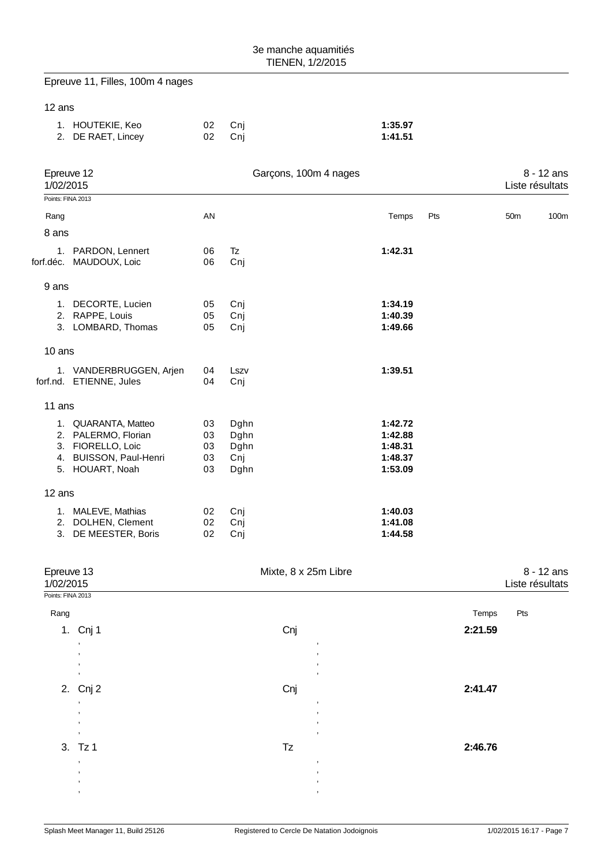|                   | Epreuve 11, Filles, 100m 4 nages                   |          |                       |   |                    |     |         |                 |                                 |
|-------------------|----------------------------------------------------|----------|-----------------------|---|--------------------|-----|---------|-----------------|---------------------------------|
| 12 ans            |                                                    |          |                       |   |                    |     |         |                 |                                 |
|                   | 1. HOUTEKIE, Keo<br>2. DE RAET, Lincey             | 02<br>02 | Cnj<br>Cnj            |   | 1:35.97<br>1:41.51 |     |         |                 |                                 |
| 1/02/2015         | Epreuve 12                                         |          | Garçons, 100m 4 nages |   |                    |     |         |                 | $8 - 12$ ans<br>Liste résultats |
| Points: FINA 2013 |                                                    |          |                       |   |                    |     |         |                 |                                 |
| Rang<br>8 ans     |                                                    | AN       |                       |   | Temps              | Pts |         | 50 <sub>m</sub> | 100m                            |
|                   |                                                    | 06       | Tz                    |   | 1:42.31            |     |         |                 |                                 |
|                   | 1. PARDON, Lennert<br>forf.déc. MAUDOUX, Loic      | 06       | Cnj                   |   |                    |     |         |                 |                                 |
| 9 ans             |                                                    |          |                       |   |                    |     |         |                 |                                 |
|                   | 1. DECORTE, Lucien                                 | 05       | Cnj                   |   | 1:34.19            |     |         |                 |                                 |
|                   | 2. RAPPE, Louis<br>3. LOMBARD, Thomas              | 05<br>05 | Cnj                   |   | 1:40.39<br>1:49.66 |     |         |                 |                                 |
|                   |                                                    |          | Cnj                   |   |                    |     |         |                 |                                 |
| 10 ans            |                                                    |          |                       |   |                    |     |         |                 |                                 |
|                   | 1. VANDERBRUGGEN, Arjen<br>forf.nd. ETIENNE, Jules | 04<br>04 | Lszv<br>Cnj           |   | 1:39.51            |     |         |                 |                                 |
|                   |                                                    |          |                       |   |                    |     |         |                 |                                 |
| 11 ans            |                                                    |          |                       |   |                    |     |         |                 |                                 |
|                   | 1. QUARANTA, Matteo<br>2. PALERMO, Florian         | 03<br>03 | Dghn                  |   | 1:42.72<br>1:42.88 |     |         |                 |                                 |
|                   | 3. FIORELLO, Loic                                  | 03       | Dghn<br>Dghn          |   | 1:48.31            |     |         |                 |                                 |
|                   | 4. BUISSON, Paul-Henri                             | 03       | Cnj                   |   | 1:48.37            |     |         |                 |                                 |
|                   | 5. HOUART, Noah                                    | 03       | Dghn                  |   | 1:53.09            |     |         |                 |                                 |
| 12 ans            |                                                    |          |                       |   |                    |     |         |                 |                                 |
|                   | 1. MALEVE, Mathias                                 | 02       | Cnj                   |   | 1:40.03            |     |         |                 |                                 |
| 2.<br>3.          | DOLHEN, Clement<br>DE MEESTER, Boris               | 02<br>02 | Cnj<br>Cnj            |   | 1:41.08<br>1:44.58 |     |         |                 |                                 |
|                   |                                                    |          |                       |   |                    |     |         |                 |                                 |
|                   | Epreuve 13                                         |          | Mixte, 8 x 25m Libre  |   |                    |     |         |                 | 8 - 12 ans                      |
| 1/02/2015         |                                                    |          |                       |   |                    |     |         |                 | Liste résultats                 |
| Points: FINA 2013 |                                                    |          |                       |   |                    |     |         |                 |                                 |
| Rang              |                                                    |          |                       |   |                    |     | Temps   | Pts             |                                 |
|                   | 1. Cnj 1                                           |          | Cnj                   |   |                    |     | 2:21.59 |                 |                                 |
|                   |                                                    |          |                       |   |                    |     |         |                 |                                 |
|                   |                                                    |          |                       |   |                    |     |         |                 |                                 |
|                   | 2. Cnj 2                                           |          | Cnj                   |   |                    |     | 2:41.47 |                 |                                 |
|                   |                                                    |          |                       |   |                    |     |         |                 |                                 |
|                   |                                                    |          |                       |   |                    |     |         |                 |                                 |
|                   | 3. Tz 1                                            |          | Tz                    |   |                    |     | 2:46.76 |                 |                                 |
|                   | ,                                                  |          |                       | , |                    |     |         |                 |                                 |
|                   |                                                    |          |                       |   |                    |     |         |                 |                                 |

, ,